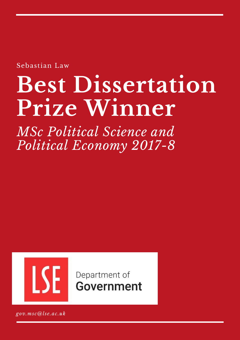Sebastian Law

# **Best Dissertation Prize Winner**

*MSc Political Science and Political Economy 2017-8*



Department of Government

*gov.msc@lse.ac.uk*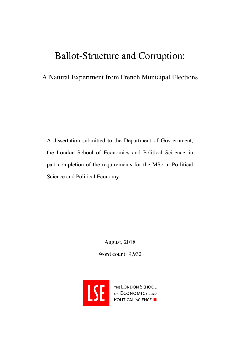## Ballot-Structure and Corruption:

## A Natural Experiment from French Municipal Elections

A dissertation submitted to the Department of Gov-ernment, the London School of Economics and Political Sci-ence, in part completion of the requirements for the MSc in Po-litical Science and Political Economy

> August, 2018 Word count: 9,932



THE LONDON SCHOOL OF ECONOMICS AND<br>POLITICAL SCIENCE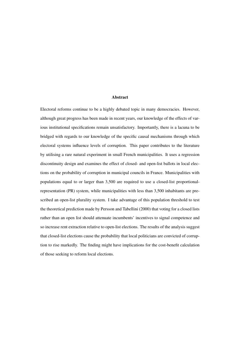#### Abstract

Electoral reforms continue to be a highly debated topic in many democracies. However, although great progress has been made in recent years, our knowledge of the effects of various institutional specifications remain unsatisfactory. Importantly, there is a lacuna to be bridged with regards to our knowledge of the specific causal mechanisms through which electoral systems influence levels of corruption. This paper contributes to the literature by utilising a rare natural experiment in small French municipalities. It uses a regression discontinuity design and examines the effect of closed- and open-list ballots in local elections on the probability of corruption in municipal councils in France. Municipalities with populations equal to or larger than 3,500 are required to use a closed-list proportionalrepresentation (PR) system, while municipalities with less than 3,500 inhabitants are prescribed an open-list plurality system. I take advantage of this population threshold to test the theoretical prediction made by Persson and Tabellini [\(2000\)](#page-41-0) that voting for a closed lists rather than an open list should attenuate incumbents' incentives to signal competence and so increase rent extraction relative to open-list elections. The results of the analysis suggest that closed-list elections cause the probability that local politicians are convicted of corruption to rise markedly. The finding might have implications for the cost-benefit calculation of those seeking to reform local elections.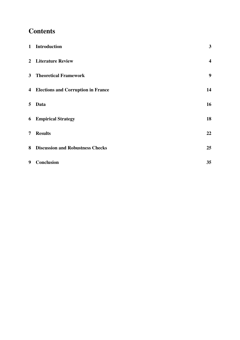## **Contents**

|                | 1 Introduction                          | $\mathbf{3}$            |
|----------------|-----------------------------------------|-------------------------|
|                | 2 Literature Review                     | $\overline{\mathbf{4}}$ |
|                | <b>3</b> Theoretical Framework          | $\boldsymbol{9}$        |
|                | 4 Elections and Corruption in France    | 14                      |
| 5 <sup>1</sup> | <b>Data</b>                             | 16                      |
|                | <b>6</b> Empirical Strategy             | 18                      |
| 7 <sup>1</sup> | <b>Results</b>                          | 22                      |
| 8              | <b>Discussion and Robustness Checks</b> | 25                      |
| 9              | Conclusion                              | 35                      |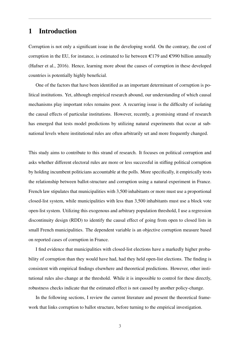## <span id="page-4-0"></span>1 Introduction

Corruption is not only a significant issue in the developing world. On the contrary, the cost of corruption in the EU, for instance, is estimated to lie between  $\epsilon$ 179 and  $\epsilon$ 990 billion annually (Hafner et al., [2016\)](#page-39-0). Hence, learning more about the causes of corruption in these developed countries is potentially highly beneficial.

One of the factors that have been identified as an important determinant of corruption is political institutions. Yet, although empirical research abound, our understanding of which causal mechanisms play important roles remains poor. A recurring issue is the difficulty of isolating the causal effects of particular institutions. However, recently, a promising strand of research has emerged that tests model predictions by utilizing natural experiments that occur at subnational levels where institutional rules are often arbitrarily set and more frequently changed.

This study aims to contribute to this strand of research. It focuses on political corruption and asks whether different electoral rules are more or less successful in stifling political corruption by holding incumbent politicians accountable at the polls. More specifically, it empirically tests the relationship between ballot-structure and corruption using a natural experiment in France. French law stipulates that municipalities with 3,500 inhabitants or more must use a proportional closed-list system, while municipalities with less than 3,500 inhabitants must use a block vote open-list system. Utilizing this exogenous and arbitrary population threshold, I use a regression discontinuity design (RDD) to identify the causal effect of going from open to closed lists in small French municipalities. The dependent variable is an objective corruption measure based on reported cases of corruption in France.

I find evidence that municipalities with closed-list elections have a markedly higher probability of corruption than they would have had, had they held open-list elections. The finding is consistent with empirical findings elsewhere and theoretical predictions. However, other institutional rules also change at the threshold. While it is impossible to control for these directly, robustness checks indicate that the estimated effect is not caused by another policy-change.

In the following sections, I review the current literature and present the theoretical framework that links corruption to ballot structure, before turning to the empirical investigation.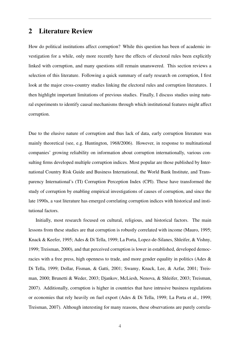## <span id="page-5-0"></span>2 Literature Review

How do political institutions affect corruption? While this question has been of academic investigation for a while, only more recently have the effects of electoral rules been explicitly linked with corruption, and many questions still remain unanswered. This section reviews a selection of this literature. Following a quick summary of early research on corruption, I first look at the major cross-country studies linking the electoral rules and corruption literatures. I then highlight important limitations of previous studies. Finally, I discuss studies using natural experiments to identify causal mechanisms through which institutional features might affect corruption.

Due to the elusive nature of corruption and thus lack of data, early corruption literature was mainly theoretical (see, e.g. Huntington, [1968/2006\)](#page-39-1). However, in response to multinational companies' growing reliability on information about corruption internationally, various consulting firms developed multiple corruption indices. Most popular are those published by International Country Risk Guide and Business International, the World Bank Institute, and Transparency International's (TI) Corruption Perception Index (CPI). These have transformed the study of corruption by enabling empirical investigations of causes of corruption, and since the late 1990s, a vast literature has emerged correlating corruption indices with historical and institutional factors.

Initially, most research focused on cultural, religious, and historical factors. The main lessons from these studies are that corruption is robustly correlated with income (Mauro, [1995;](#page-40-0) Knack & Keefer, [1995;](#page-40-1) Ades & Di Tella, [1999;](#page-37-0) La Porta, Lopez-de-Silanes, Shleifer, & Vishny, [1999;](#page-40-2) Treisman, [2000\)](#page-42-0), and that perceived corruption is lower in established, developed democracies with a free press, high openness to trade, and more gender equality in politics (Ades & Di Tella, [1999;](#page-37-0) Dollar, Fisman, & Gatti, [2001;](#page-38-0) Swamy, Knack, Lee, & Azfar, [2001;](#page-42-1) Treisman, [2000;](#page-42-0) Brunetti & Weder, [2003;](#page-37-1) Djankov, McLiesh, Nenova, & Shleifer, [2003;](#page-38-1) Treisman, [2007\)](#page-42-2). Additionally, corruption is higher in countries that have intrusive business regulations or economies that rely heavily on fuel export (Ades & Di Tella, [1999;](#page-37-0) La Porta et al., [1999;](#page-40-2) Treisman, [2007\)](#page-42-2). Although interesting for many reasons, these observations are purely correla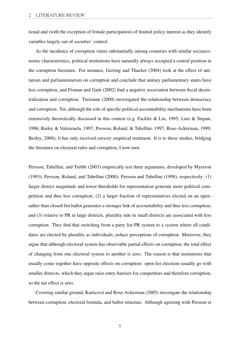tional and (with the exception of female participation) of limited policy interest as they identify variables largely out of societies' control.

As the incidence of corruption varies substantially among countries with similar socioeconomic characteristics, political institutions have naturally always occupied a central position in the corruption literature. For instance, Gerring and Thacker [\(2004\)](#page-39-2) look at the effect of unitarism and parliamentarism on corruption and conclude that unitary parliamentary states have less corruption, and Fisman and Gatti [\(2002\)](#page-39-3) find a negative association between fiscal decentralization and corruption. Treisman [\(2000\)](#page-42-0) investigated the relationship between democracy and corruption. Yet, although the role of specific political accountability mechanisms have been extensively theoretically discussed in this context (e.g. Fackler & Lin, [1995;](#page-38-2) Linz & Stepan, [1996;](#page-40-3) Bailey & Valenzuela, [1997;](#page-37-2) Persson, Roland, & Tabellini, [1997;](#page-41-1) Rose-Ackerman, [1999;](#page-42-3) Besley, [2006\)](#page-37-3), it has only received cursory empirical treatment. It is to these studies, bridging the literature on electoral rules and corruption, I now turn.

Persson, Tabellini, and Trebbi [\(2003\)](#page-41-2) empirically test three arguments, developed by Myerson [\(1993\)](#page-41-3); Persson, Roland, and Tabellini [\(2000\)](#page-41-4); Persson and Tabellini [\(1998\)](#page-41-5), respectively: (1) larger district magnitude and lower thresholds for representation generate more political competition and thus less corruption; (2) a larger fraction of representatives elected on an openrather than closed-list ballot generates a stronger link of accountability and thus less corruption; and (3) relative to PR in large districts, plurality rule in small districts are associated with less corruption. They find that switching from a party list PR system to a system where all candidates are elected by plurality as individuals, reduce perceptions of corruption. Moreover, they argue that although electoral system has observable partial effects on corruption, the total effect of changing from one electoral system to another is zero. The reason is that institutions that usually come together have opposite effects on corruption: open-list elections usually go with smaller districts, which they argue raise entry-barriers for competitors and therefore corruption, so the net effect is zero.

Covering similar ground, Kunicová and Rose-Ackerman [\(2005\)](#page-40-4) investigate the relationship between corruption, electoral formula, and ballot structure. Although agreeing with Persson et

5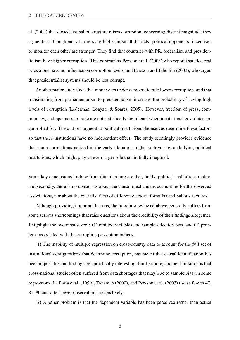al. [\(2003\)](#page-41-2) that closed-list ballot structure raises corruption, concerning district magnitude they argue that although entry-barriers are higher in small districts, political opponents' incentives to monitor each other are stronger. They find that countries with PR, federalism and presidentialism have higher corruption. This contradicts Persson et al. [\(2003\)](#page-41-2) who report that electoral rules alone have no influence on corruption levels, and Persson and Tabellini [\(2003\)](#page-41-6), who argue that presidentialist systems should be less corrupt.

Another major study finds that more years under democratic rule lowers corruption, and that transitioning from parliamentarism to presidentialism increases the probability of having high levels of corruption (Lederman, Loayza, & Soares, [2005\)](#page-40-5). However, freedom of press, common law, and openness to trade are not statistically significant when institutional covariates are controlled for. The authors argue that political institutions themselves determine these factors so that these institutions have no independent effect. The study seemingly provides evidence that some correlations noticed in the early literature might be driven by underlying political institutions, which might play an even larger role than initially imagined.

Some key conclusions to draw from this literature are that, firstly, political institutions matter, and secondly, there is no consensus about the causal mechanisms accounting for the observed associations, nor about the overall effects of different electoral formulas and ballot structures.

Although providing important lessons, the literature reviewed above generally suffers from some serious shortcomings that raise questions about the credibility of their findings altogether. I highlight the two most severe: (1) omitted variables and sample selection bias, and (2) problems associated with the corruption perception indices.

(1) The inability of multiple regression on cross-country data to account for the full set of institutional configurations that determine corruption, has meant that causal identification has been impossible and findings less practically interesting. Furthermore, another limitation is that cross-national studies often suffered from data shortages that may lead to sample bias: in some regressions, La Porta et al. [\(1999\)](#page-40-2), Treisman [\(2000\)](#page-42-0), and Persson et al. [\(2003\)](#page-41-2) use as few as 47, 81, 80 and often fewer observations, respectively.

(2) Another problem is that the dependent variable has been perceived rather than actual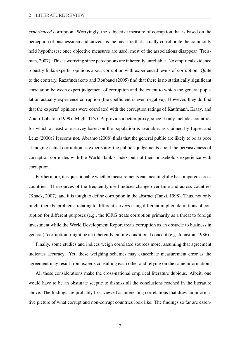*experienced* corruption. Worryingly, the subjective measure of corruption that is based on the perception of businessmen and citizens is the measure that actually corroborate the commonly held hypotheses; once objective measures are used, most of the associations disappear (Treisman, [2007\)](#page-42-2). This is worrying since perceptions are inherently unreliable. No empirical evidence robustly links experts' opinions about corruption with experienced levels of corruption. Quite to the contrary, Razafindrakoto and Roubaud [\(2005\)](#page-42-4) find that there is no statistically significant correlation between expert judgement of corruption and the extent to which the general population actually experience corruption (the coefficient is even negative). However, they do find that the experts' opinions were correlated with the corruption ratings of Kaufmann, Kraay, and Zoido-Lobatón [\(1999\)](#page-39-4). Might TI's CPI provide a better proxy, since it only includes countries for which at least one survey based on the population is available, as claimed by Lipset and Lenz [\(2000\)](#page-40-6)? It seems not. Abramo [\(2008\)](#page-37-4) finds that the general public are likely to be as poor at judging actual corruption as experts are: the public's judgements about the pervasiveness of corruption correlates with the World Bank's index but not their household's experience with corruption.

Furthermore, it is questionable whether measurements can meaningfully be compared across countries. The sources of the frequently used indices change over time and across countries (Knack, [2007\)](#page-39-5), and it is tough to define corruption in the abstract (Tanzi, [1998\)](#page-42-5). Thus, not only might there be problems relating to different surveys using different implicit definitions of corruption for different purposes (e.g., the ICRG treats corruption primarily as a threat to foreign investment while the World Development Report treats corruption as an obstacle to business in general) 'corruption' might be an inherently culture conditional concept (e.g. Johnston, [1986\)](#page-39-6).

Finally, some studies and indices weigh correlated sources more, assuming that agreement indicates accuracy. Yet, these weighing schemes may exacerbate measurement error as the agreement may result from experts consulting each other and relying on the same information.

All these considerations make the cross-national empirical literature dubious. Albeit, one would have to be an obstinate sceptic to dismiss all the conclusions reached in the literature above. The findings are probably best viewed as interesting correlations that draw an informative picture of what corrupt and non-corrupt countries look like. The findings so far are essen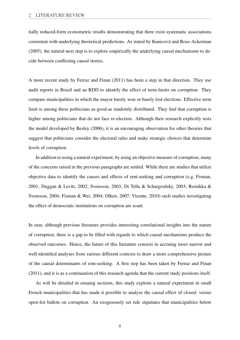tially reduced-form econometric results demonstrating that there exist systematic associations consistent with underlying theoretical predictions. As stated by Kunicová and Rose-Ackerman [\(2005\)](#page-40-4), the natural next step is to explore empirically the underlying causal mechanisms to decide between conflicting causal stories.

A more recent study by Ferraz and Finan [\(2011\)](#page-39-7) has been a step in that direction. They use audit reports in Brazil and an RDD to identify the effect of term-limits on corruption. They compare municipalities in which the mayor barely won or barely lost elections. Effective term limit is among these politicians as-good-as randomly distributed. They find that corruption is higher among politicians that do not face re-election. Although their research explicitly tests the model developed by Besley [\(2006\)](#page-37-3), it is an encouraging observation for other theories that suggest that politicians consider the electoral rules and make strategic choices that determine levels of corruption.

In addition to using a natural experiment, by using an objective measure of corruption, many of the concerns raised in the previous paragraphs are settled. While there are studies that utilize objective data to identify the causes and effects of rent-seeking and corruption (e.g. Fisman, [2001;](#page-39-8) Duggan & Levitt, [2002;](#page-38-3) Svensson, [2003;](#page-42-6) Di Tella & Schargrodsky, [2003;](#page-38-4) Reinikka & Svensson, [2004;](#page-42-7) Fisman & Wei, [2004;](#page-39-9) Olken, [2007;](#page-41-7) Vicente, [2010\)](#page-42-8) such studies investigating the effect of democratic institutions on corruption are scant.

In sum, although previous literature provides interesting correlational insights into the nature of corruption, there is a gap to be filled with regards to which causal mechanisms produce the observed outcomes. Hence, the future of this literature consists in accruing more narrow and well-identified analyses from various different contexts to draw a more comprehensive picture of the causal determinants of rent-seeking. A first step has been taken by Ferraz and Finan [\(2011\)](#page-39-7), and it is as a continuation of this research agenda that the current study positions itself.

As will be detailed in ensuing sections, this study exploits a natural experiment in small French municipalities that has made it possible to analyse the causal effect of closed- versus open-list ballots on corruption. An exogenously set rule stipulates that municipalities below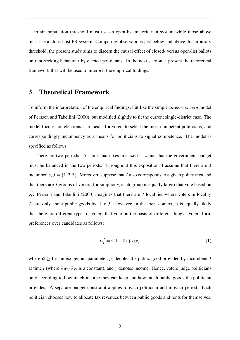a certain population threshold must use en open-list majoritarian system while those above must use a closed-list PR system. Comparing observations just below and above this arbitrary threshold, the present study aims to discern the causal effect of closed- versus open-list ballots on rent-seeking behaviour by elected politicians. In the next section, I present the theoretical framework that will be used to interpret the empirical findings.

## <span id="page-10-0"></span>3 Theoretical Framework

To inform the interpretation of the empirical findings, I utilize the simple *career-concern* model of Persson and Tabellini [\(2000\)](#page-41-0), but modified slightly to fit the current single-district case. The model focuses on elections as a means for voters to select the most competent politicians, and correspondingly incumbency as a means for politicians to signal competence. The model is specified as follows.

There are two periods. Assume that taxes are fixed at  $\bar{\tau}$  and that the government budget must be balanced in the two periods. Throughout this exposition, I assume that there are 3 incumbents,  $J = \{1, 2, 3\}$ . Moreover, suppose that *J* also corresponds to a given policy area and that there are *J* groups of voters (for simplicity, each group is equally large) that vote based on  $g_t^J$ . Persson and Tabellini [\(2000\)](#page-41-0) imagines that there are *J* localities where voters in locality *J* care only about public goods local to *J*. However, in the local context, it is equally likely that there are different types of voters that vote on the basis of different things. Voters form preferences over candidates as follows:

$$
w_t^J = y(1 - \bar{\tau}) + \alpha g_t^J \tag{1}
$$

where  $\alpha \geq 1$  is an exogenous parameter,  $g_t$  denotes the public good provided by incumbent *J* at time *t* (where  $\partial w_t / \partial g_t$  is a constant), and *y* denotes income. Hence, voters judge politicians only according to how much income they can keep and how much public goods the politician provides. A separate budget constraint applies to each politician and in each period. Each politician chooses how to allocate tax revenues between public goods and rents for themselves.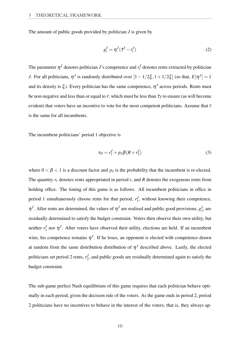The amount of public goods provided by politician *J* is given by

<span id="page-11-0"></span>
$$
g_t^J = \eta^J(\bar{\tau}^J - r_t^J) \tag{2}
$$

The parameter  $\eta^J$  denotes politician *J*'s competence and  $r_t^J$  denotes rents extracted by politician *J*. For all politicians,  $\eta^J$  is randomly distributed over  $[1 - 1/2\xi, 1 + 1/2\xi]$  (so that,  $E[\eta^J] = 1$ and its density is  $\xi$ ). Every politician has the same competence,  $\eta^J$  across periods. Rents must be non-negative and less than or equal to  $\bar{r}$ , which must be less than  $\bar{\tau}$ *y* to ensure (as will become evident) that voters have an incentive to vote for the most competent politicians. Assume that  $\bar{r}$ is the same for all incumbents.

The incumbent politicians' period 1 objective is

$$
v_J = r_1^J + p_J \beta (R + r_2^J) \tag{3}
$$

where  $0 < \beta < 1$  is a discount factor and  $p_j$  is the probability that the incumbent is re-elected. The quantity *r<sup>t</sup>* denotes rents appropriated in period *t*, and *R* denotes the exogenous rents from holding office. The timing of this game is as follows. All incumbent politicians in office in period 1 simultaneously choose rents for that period,  $r_1^J$  $\frac{J}{1}$ , without knowing their competence,  $\eta^J$ . After rents are determined, the values of  $\eta^J$  are realised and public good provisions,  $g_1^J$  $\frac{J}{1}$ , are residually determined to satisfy the budget constraint. Voters then observe their own utility, but neither  $r_1^J$  $\nabla_1^J$  nor  $\eta^J$ . After voters have observed their utility, elections are held. If an incumbent wins, his competence remains  $\eta^J$ . If he loses, an opponent is elected with competence drawn at random from the same distribution distribution of  $\eta<sup>J</sup>$  described above. Lastly, the elected politicians set period 2 rents,  $r_2^J$  $\frac{1}{2}$ , and public goods are residually determined again to satisfy the budget constraint.

The sub-game perfect Nash equilibrium of this game requires that each politician behave optimally in each period, given the decision rule of the voters. As the game ends in period 2, period 2 politicians have no incentives to behave in the interest of the voters; that is, they always ap-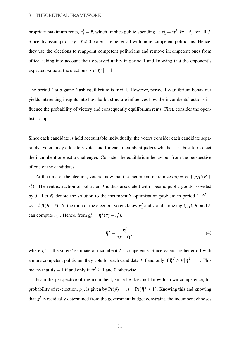propriate maximum rents,  $r_2^J = \bar{r}$ , which implies public spending at  $g_2^J = \eta^J(\bar{\tau}y - \bar{r})$  for all *J*. Since, by assumption  $\bar{\tau}y-\bar{r}\neq 0$ , voters are better off with more competent politicians. Hence, they use the elections to reappoint competent politicians and remove incompetent ones from office, taking into account their observed utility in period 1 and knowing that the opponent's expected value at the elections is  $E[\eta^J] = 1$ .

The period 2 sub-game Nash equilibrium is trivial. However, period 1 equilibrium behaviour yields interesting insights into how ballot structure influences how the incumbents' actions influence the probability of victory and consequently equilibrium rents. First, consider the openlist set-up.

Since each candidate is held accountable individually, the voters consider each candidate separately. Voters may allocate 3 votes and for each incumbent judges whether it is best to re-elect the incumbent or elect a challenger. Consider the equilibrium behaviour from the perspective of one of the candidates.

At the time of the election, voters know that the incumbent maximizes  $v_J = r_1^J + p_J\beta(R +$ *r J*  $Z_2$ ). The rent extraction of politician *J* is thus associated with specific public goods provided by *J*. Let  $\tilde{r}_1$  denote the solution to the incumbent's optimisation problem in period 1,  $\tilde{r}_1^J$  =  $\bar{\tau}y-\xi\beta(R+\bar{r})$ . At the time of the election, voters know  $g_1^J$  $\frac{J}{1}$  and  $\bar{\tau}$  and, knowing  $\xi$ ,  $\beta$ ,  $R$ , and  $\bar{r}$ , can compute  $\tilde{r}_1^J$ . Hence, from  $g_t^J = \eta^J(\bar{\tau}y - r_t^J)$ ,

<span id="page-12-0"></span>
$$
\tilde{\eta}^J = \frac{g_1^J}{\bar{\tau}y - \tilde{r}_1^J},\tag{4}
$$

where  $\tilde{\eta}^J$  is the voters' estimate of incumbent *J*'s competence. Since voters are better off with a more competent politician, they vote for each candidate *J* if and only if  $\tilde{\eta}^J \ge E[\eta^J] = 1$ . This means that  $\tilde{p}_J = 1$  if and only if  $\tilde{\eta}^J \ge 1$  and 0 otherwise.

From the perspective of the incumbent, since he does not know his own competence, his probability of re-election,  $p_J$ , is given by  $Pr(p_J = 1) = Pr(\tilde{\eta}^J \ge 1)$ . Knowing this and knowing that  $g_1^J$  $\frac{1}{1}$  is residually determined from the government budget constraint, the incumbent chooses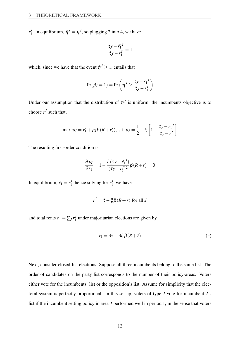*r J* <sup>*J*</sup>. In equilibrium,  $\tilde{\eta}^J = \eta^J$ , so plugging [2](#page-11-0) into [4,](#page-12-0) we have

<span id="page-13-0"></span>
$$
\frac{\bar{\tau}y - \tilde{r_1}^J}{\bar{\tau}y - r_1^J} = 1
$$

which, since we have that the event  $\tilde{\eta}^J \geq 1$ , entails that

$$
Pr(\tilde{p}_J = 1) = Pr\left(\eta^J \ge \frac{\bar{\tau}y - \tilde{r}_1^J}{\bar{\tau}y - r_1^J}\right)
$$

Under our assumption that the distribution of  $\eta^J$  is uniform, the incumbents objective is to choose  $r_1^J$  $\frac{J}{1}$  such that,

max 
$$
v_J = r_1^J + p_J \beta (R + r_2^J)
$$
, s.t.  $p_J = \frac{1}{2} + \xi \left[ 1 - \frac{\bar{\tau}_y - \tilde{r}_1^J}{\bar{\tau}_y - r_1^J} \right]$ 

The resulting first-order condition is

$$
\frac{\partial v_I}{\partial r_1} = 1 - \frac{\xi(\bar{\tau}y - \tilde{r}_1^J)}{(\bar{\tau}y - r_1^J)^2} \beta(R + \bar{r}) = 0
$$

In equilibrium,  $\tilde{r}_1 = r_1^J$  $I_1$ , hence solving for  $r_1^J$  $\frac{J}{1}$ , we have

$$
r_1^J = \bar{\tau} - \xi \beta (R + \bar{r})
$$
 for all J

and total rents  $r_1 = \sum_J r_1^J$  $\frac{1}{1}$  under majoritarian elections are given by

$$
r_1 = 3\bar{\tau} - 3\xi\beta(R + \bar{r})\tag{5}
$$

Next, consider closed-list elections. Suppose all three incumbents belong to the same list. The order of candidates on the party list corresponds to the number of their policy-areas. Voters either vote for the incumbents' list or the opposition's list. Assume for simplicity that the electoral system is perfectly proportional. In this set-up, voters of type *J* vote for incumbent *J*'s list if the incumbent setting policy in area *J* performed well in period 1, in the sense that voters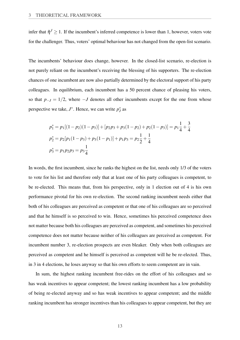infer that  $\tilde{\eta}^J \geq 1$ . If the incumbent's inferred competence is lower than 1, however, voters vote for the challenger. Thus, voters' optimal behaviour has not changed from the open-list scenario.

The incumbents' behaviour does change, however. In the closed-list scenario, re-election is not purely reliant on the incumbent's receiving the blessing of his supporters. The re-election chances of one incumbent are now also partially determined by the electoral support of his party colleagues. In equilibrium, each incumbent has a 50 percent chance of pleasing his voters, so that  $p_{-J} = 1/2$ , where  $-J$  denotes all other incumbents except for the one from whose perspective we take,  $J^*$ . Hence, we can write  $p_J^*$  as

$$
p_1^* = p_1[(1 - p_2)(1 - p_3)] + [p_2p_3 + p_3(1 - p_2) + p_2(1 - p_3)] = p_1\frac{1}{4} + \frac{3}{4}
$$
  
\n
$$
p_2^* = p_2[p_1(1 - p_3) + p_3(1 - p_1)] + p_1p_3 = p_2\frac{1}{2} + \frac{1}{4}
$$
  
\n
$$
p_3^* = p_1p_2p_3 = p_3\frac{1}{4}
$$

In words, the first incumbent, since he ranks the highest on the list, needs only 1/3 of the voters to vote for his list and therefore only that at least one of his party colleagues is competent, to be re-elected. This means that, from his perspective, only in 1 election out of 4 is his own performance pivotal for his own re-election. The second ranking incumbent needs either that both of his colleagues are perceived as competent or that one of his colleagues are so perceived and that he himself is so perceived to win. Hence, sometimes his perceived competence does not matter because both his colleagues are perceived as competent, and sometimes his perceived competence does not matter because neither of his colleagues are perceived as competent. For incumbent number 3, re-election prospects are even bleaker. Only when both colleagues are perceived as competent and he himself is perceived as competent will he be re-elected. Thus, in 3 in 4 elections, he loses anyway so that his own efforts to seem competent are in vain.

In sum, the highest ranking incumbent free-rides on the effort of his colleagues and so has weak incentives to appear competent; the lowest ranking incumbent has a low probability of being re-elected anyway and so has weak incentives to appear competent; and the middle ranking incumbent has stronger incentives than his colleagues to appear competent, but they are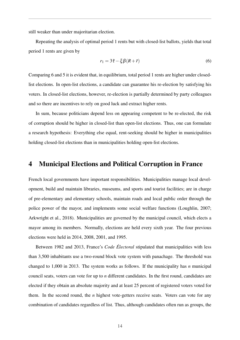still weaker than under majoritarian election.

Repeating the analysis of optimal period 1 rents but with closed-list ballots, yields that total period 1 rents are given by

<span id="page-15-1"></span>
$$
r_1 = 3\bar{\tau} - \xi \beta (R + \bar{r})
$$
\n<sup>(6)</sup>

Comparing [6](#page-15-1) and [5](#page-13-0) it is evident that, in equilibrium, total period 1 rents are higher under closedlist elections. In open-list elections, a candidate can guarantee his re-election by satisfying his voters. In closed-list elections, however, re-election is partially determined by party colleagues and so there are incentives to rely on good luck and extract higher rents.

In sum, because politicians depend less on appearing competent to be re-elected, the risk of corruption should be higher in closed-list than open-list elections. Thus, one can formulate a research hypothesis: Everything else equal, rent-seeking should be higher in municipalities holding closed-list elections than in municipalities holding open-list elections.

## <span id="page-15-0"></span>4 Municipal Elections and Political Corruption in France

French local governments have important responsibilities. Municipalities manage local development, build and maintain libraries, museums, and sports and tourist facilities; are in charge of pre-elementary and elementary schools, maintain roads and local public order through the police power of the mayor, and implements some social welfare functions (Loughlin, [2007;](#page-40-7) Arkwright et al., [2018\)](#page-37-5). Municipalities are governed by the municipal council, which elects a mayor among its members. Normally, elections are held every sixth year. The four previous elections were held in 2014, 2008, 2001, and 1995.

Between 1982 and 2013, France's *Code Électoral* stipulated that municipalities with less than 3,500 inhabitants use a two-round block vote system with panachage. The threshold was changed to 1,000 in 2013. The system works as follows. If the municipality has *n* municipal council seats, voters can vote for up to *n* different candidates. In the first round, candidates are elected if they obtain an absolute majority and at least 25 percent of registered voters voted for them. In the second round, the *n* highest vote-getters receive seats. Voters can vote for any combination of candidates regardless of list. Thus, although candidates often run as groups, the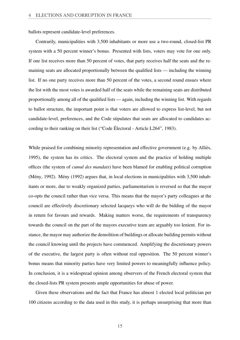ballots represent candidate-level preferences.

Contrarily, municipalities with 3,500 inhabitants or more use a two-round, closed-list PR system with a 50 percent winner's bonus. Presented with lists, voters may vote for one only. If one list receives more than 50 percent of votes, that party receives half the seats and the remaining seats are allocated proportionally between the qualified lists — including the winning list. If no one party receives more than 50 percent of the votes, a second round ensues where the list with the most votes is awarded half of the seats while the remaining seats are distributed proportionally among all of the qualified lists — again, including the winning list. With regards to ballot structure, the important point is that voters are allowed to express list-level, but not candidate-level, preferences, and the Code stipulates that seats are allocated to candidates according to their ranking on their list ("Code Électoral - Article L264", [1983\)](#page-38-5).

While praised for combining minority representation and effective government (e.g. by Alliès, [1995\)](#page-37-6), the system has its critics. The electoral system and the practice of holding multiple offices (the system of *cumul des mandats*) have been blamed for enabling political corruption (Mény, [1992\)](#page-41-8). Mény [\(1992\)](#page-41-8) argues that, in local elections in municipalities with 3,500 inhabitants or more, due to weakly organized parties, parliamentarism is reversed so that the mayor co-opts the council rather than vice versa. This means that the mayor's party colleagues at the council are effectively discretionary selected lacqueys who will do the bidding of the mayor in return for favours and rewards. Making matters worse, the requirements of transparency towards the council on the part of the mayors executive team are arguably too lenient. For instance, the mayor may authorize the demolition of buildings or allocate building permits without the council knowing until the projects have commenced. Amplifying the discretionary powers of the executive, the largest party is often without real opposition. The 50 percent winner's bonus means that minority parties have very limited powers to meaningfully influence policy. In conclusion, it is a widespread opinion among observers of the French electoral system that the closed-lists PR system presents ample opportunities for abuse of power.

Given these observations and the fact that France has almost 1 elected local politician per 100 citizens according to the data used in this study, it is perhaps unsurprising that more than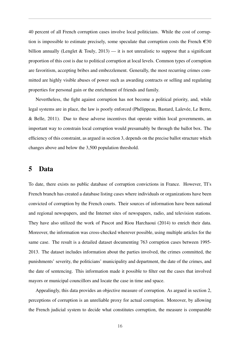40 percent of all French corruption cases involve local politicians. While the cost of corruption is impossible to estimate precisely, some speculate that corruption costs the French  $\epsilon$ 30 billion annually (Lenglet & Touly,  $2013$ ) — it is not unrealistic to suppose that a significant proportion of this cost is due to political corruption at local levels. Common types of corruption are favoritism, accepting bribes and embezzlement. Generally, the most recurring crimes committed are highly visible abuses of power such as awarding contracts or selling and regulating properties for personal gain or the enrichment of friends and family.

Nevertheless, the fight against corruption has not become a political priority, and, while legal systems are in place, the law is poorly enforced (Phélippeau, Bastard, Lalevée, Le Berre, & Belle, [2011\)](#page-41-9). Due to these adverse incentives that operate within local governments, an important way to constrain local corruption would presumably be through the ballot box. The efficiency of this constraint, as argued in section [3,](#page-10-0) depends on the precise ballot structure which changes above and below the 3,500 population threshold.

### <span id="page-17-0"></span>5 Data

To date, there exists no public database of corruption convictions in France. However, TI's French branch has created a database listing cases where individuals or organizations have been convicted of corruption by the French courts. Their sources of information have been national and regional newspapers, and the Internet sites of newspapers, radio, and television stations. They have also utilized the work of Pascot and Riou Harchaoui [\(2014\)](#page-41-10) to enrich their data. Moreover, the information was cross-checked wherever possible, using multiple articles for the same case. The result is a detailed dataset documenting 763 corruption cases between 1995- 2013. The dataset includes information about the parties involved, the crimes committed, the punishments' severity, the politicians' municipality and department, the date of the crimes, and the date of sentencing. This information made it possible to filter out the cases that involved mayors or municipal councillors and locate the case in time and space.

Appealingly, this data provides an objective measure of corruption. As argued in section [2,](#page-5-0) perceptions of corruption is an unreliable proxy for actual corruption. Moreover, by allowing the French judicial system to decide what constitutes corruption, the measure is comparable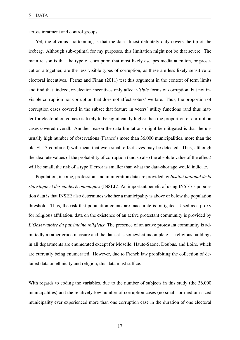across treatment and control groups.

Yet, the obvious shortcoming is that the data almost definitely only covers the tip of the iceberg. Although sub-optimal for my purposes, this limitation might not be that severe. The main reason is that the type of corruption that most likely escapes media attention, or prosecution altogether, are the less visible types of corruption, as these are less likely sensitive to electoral incentives. Ferraz and Finan [\(2011\)](#page-39-7) test this argument in the context of term limits and find that, indeed, re-election incentives only affect *visible* forms of corruption, but not invisible corruption nor corruption that does not affect voters' welfare. Thus, the proportion of corruption cases covered in the subset that feature in voters' utility functions (and thus matter for electoral outcomes) is likely to be significantly higher than the proportion of corruption cases covered overall. Another reason the data limitations might be mitigated is that the unusually high number of observations (France's more than 36,000 municipalities, more than the old EU15 combined) will mean that even small effect sizes may be detected. Thus, although the absolute values of the probability of corruption (and so also the absolute value of the effect) will be small, the risk of a type II error is smaller than what the data-shortage would indicate.

Population, income, profession, and immigration data are provided by *Institut national de la statistique et des études économiques* (INSEE). An important benefit of using INSEE's population data is that INSEE also determines whether a municipality is above or below the population threshold. Thus, the risk that population counts are inaccurate is mitigated. Used as a proxy for religious affiliation, data on the existence of an active protestant community is provided by *L'Observatoire du patrimoine religieux*. The presence of an active protestant community is admittedly a rather crude measure and the dataset is somewhat incomplete — religious buildings in all departments are enumerated except for Moselle, Haute-Saone, Doubus, and Loire, which are currently being enumerated. However, due to French law prohibiting the collection of detailed data on ethnicity and religion, this data must suffice.

With regards to coding the variables, due to the number of subjects in this study (the 36,000 municipalities) and the relatively low number of corruption cases (no small- or medium-sized municipality ever experienced more than one corruption case in the duration of one electoral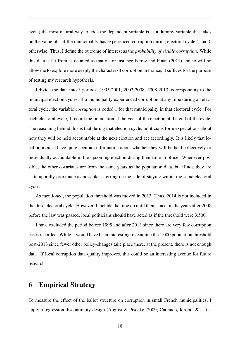cycle) the most natural way to code the dependent variable is as a dummy variable that takes on the value of 1 if the municipality has experienced corruption during electoral cycle *t*, and 0 otherwise. Thus, I define the outcome of interest as the *probability of visible corruption*. While this data is far from as detailed as that of for instance Ferraz and Finan [\(2011\)](#page-39-7) and so will no allow me to explore more deeply the character of corruption in France, it suffices for the purpose of testing my research hypothesis.

I divide the data into 3 periods: 1995-2001, 2002-2008, 2008-2013, corresponding to the municipal election cycles. If a municipality experienced corruption at any time during an electoral cycle, the variable *corruption* is coded 1 for that municipality in that electoral cycle. For each electoral cycle, I record the population at the year of the election at the end of the cycle. The reasoning behind this is that during that election cycle, politicians form expectations about how they will be held accountable at the next election and act accordingly. It is likely that local politicians have quite accurate information about whether they will be held collectively or individually accountable in the upcoming election during their time in office. Whenever possible, the other covariates are from the same years as the population data, but if not, they are as temporally proximate as possible — erring on the side of staying within the same electoral cycle.

As mentioned, the population threshold was moved in 2013. Thus, 2014 is not included in the third electoral cycle. However, I include the time up until then, since, in the years after 2008 before the law was passed, local politicians should have acted as if the threshold were 3,500.

I have excluded the period before 1995 and after 2013 since there are very few corruption cases recorded. While it would have been interesting to examine the 1,000 population threshold post-2013 since fewer other policy-changes take place there, at the present, there is not enough data. If local corruption data quality improves, this could be an interesting avenue for future research.

## <span id="page-19-0"></span>6 Empirical Strategy

To measure the effect of the ballot structure on corruption in small French municipalities, I apply a regression discontinuity design (Angrist & Pischke, [2009;](#page-37-7) Cattaneo, Idrobo, & Titiu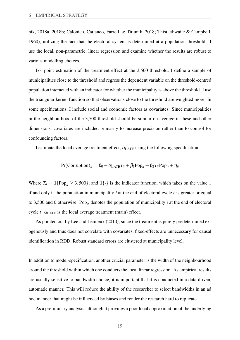nik, [2018a,](#page-38-6) [2018b;](#page-38-7) Calonico, Cattaneo, Farrell, & Titiunik, [2018;](#page-37-8) Thistlethwaite & Campbell, [1960\)](#page-42-9), utilizing the fact that the electoral system is determined at a population threshold. I use the local, non-parametric, linear regression and examine whether the results are robust to various modelling choices.

For point estimation of the treatment effect at the 3,500 threshold, I define a sample of municipalities close to the threshold and regress the dependent variable on the threshold-centred population interacted with an indicator for whether the municipality is above the threshold. I use the triangular kernel function so that observations close to the threshold are weighted more. In some specifications, I include social and economic factors as covariates. Since municipalities in the neighbourhood of the 3,500 threshold should be similar on average in these and other dimensions, covariates are included primarily to increase precision rather than to control for confounding factors.

I estimate the local average treatment effect,  $\hat{\alpha}_{\text{LATE}}$  using the following specification:

$$
Pr(Corruption)_{it} = \beta_0 + \alpha_{LATE} T_{it} + \beta_1 Pop_{it} + \beta_2 T_{it} Pop_{it} + \eta_{it}
$$

Where  $T_{it} = \mathbb{1}{P \text{op}_{it} \geq 3,500}$ , and  $\mathbb{1}{\cdot}$  is the indicator function, which takes on the value 1 if and only if the population in municipality *i* at the end of electoral cycle *t* is greater or equal to 3,500 and 0 otherwise. Pop<sub>it</sub> denotes the population of municipality *i* at the end of electoral cycle  $t$ .  $\alpha_{\text{LATE}}$  is the local average treatment (main) effect.

As pointed out by Lee and Lemieux [\(2010\)](#page-40-9), since the treatment is purely predetermined exogenously and thus does not correlate with covariates, fixed-effects are unnecessary for causal identification in RDD. Robust standard errors are clustered at municipality level.

In addition to model-specification, another crucial parameter is the width of the neighbourhood around the threshold within which one conducts the local linear regression. As empirical results are usually sensitive to bandwidth choice, it is important that it is conducted in a data-driven, automatic manner. This will reduce the ability of the researcher to select bandwidths in an ad hoc manner that might be influenced by biases and render the research hard to replicate.

As a preliminary analysis, although it provides a poor local approximation of the underlying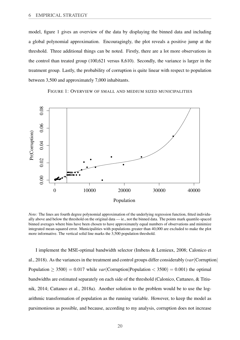model, figure [1](#page-21-0) gives an overview of the data by displaying the binned data and including a global polynomial approximation. Encouragingly, the plot reveals a positive jump at the threshold. Three additional things can be noted. Firstly, there are a lot more observations in the control than treated group (100,621 versus 8,610). Secondly, the variance is larger in the treatment group. Lastly, the probability of corruption is quite linear with respect to population between 3,500 and approximately 7,000 inhabitants.

FIGURE 1: OVERVIEW OF SMALL AND MEDIUM SIZED MUNICIPALITIES

<span id="page-21-0"></span>

*Note:* The lines are fourth degree polynomial approximation of the underlying regression function, fitted individually above and below the threshold on the original data — ie., not the binned data. The points mark quantile-spaced binned averages where bins have been chosen to have approximately equal numbers of observations and minimize integrated mean-squared error. Municipalities with populations greater than 40,000 are excluded to make the plot more informative. The vertical solid line marks the 3,500 population threshold.

I implement the MSE-optimal bandwidth selector (Imbens & Lemieux, [2008;](#page-39-10) Calonico et al., [2018\)](#page-37-8). As the variances in the treatment and control groups differ considerably (*var*(Corruption| Population  $> 3500$  = 0.017 while *var*(Corruption|Population  $<$  3500) = 0.001) the optimal bandwidths are estimated separately on each side of the threshold (Calonico, Cattaneo, & Titiunik, [2014;](#page-37-9) Cattaneo et al., [2018a\)](#page-38-6). Another solution to the problem would be to use the logarithmic transformation of population as the running variable. However, to keep the model as parsimonious as possible, and because, according to my analysis, corruption does not increase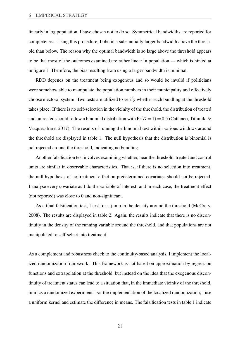linearly in log population, I have chosen not to do so. Symmetrical bandwidths are reported for completeness. Using this procedure, I obtain a substantially larger bandwidth above the threshold than below. The reason why the optimal bandwidth is so large above the threshold appears to be that most of the outcomes examined are rather linear in population — which is hinted at in figure [1.](#page-21-0) Therefore, the bias resulting from using a larger bandwidth is minimal.

RDD depends on the treatment being exogenous and so would be invalid if politicians were somehow able to manipulate the population numbers in their municipality and effectively choose electoral system. Two tests are utilized to verify whether such bundling at the threshold takes place. If there is no self-selection in the vicinity of the threshold, the distribution of treated and untreated should follow a binomial distribution with  $Pr(D = 1) = 0.5$  (Cattaneo, Titiunik, & Vazquez-Bare, [2017\)](#page-38-8). The results of running the binomial test within various windows around the threshold are displayed in table [1.](#page-24-0) The null hypothesis that the distribution is binomial is not rejected around the threshold, indicating no bundling.

Another falsification test involves examining whether, near the threshold, treated and control units are similar in observable characteristics. That is, if there is no selection into treatment, the null hypothesis of no treatment effect on predetermined covariates should not be rejected. I analyse every covariate as I do the variable of interest, and in each case, the treatment effect (not reported) was close to 0 and non-significant.

As a final falsification test, I test for a jump in the density around the threshold (McCrary, [2008\)](#page-41-11). The results are displayed in table [2.](#page-24-1) Again, the results indicate that there is no discontinuity in the density of the running variable around the threshold, and that populations are not manipulated to self-select into treatment.

As a complement and robustness check to the continuity-based analysis, I implement the localized randomization framework. This framework is not based on approximation by regression functions and extrapolation at the threshold, but instead on the idea that the exogenous discontinuity of treatment status can lead to a situation that, in the immediate vicinity of the threshold, mimics a randomized experiment. For the implementation of the localized randomization, I use a uniform kernel and estimate the difference in means. The falsification tests in table [1](#page-24-0) indicate

21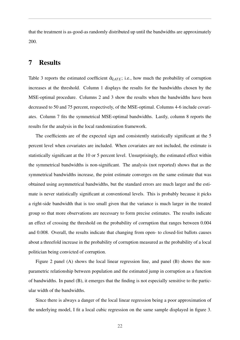that the treatment is as-good-as randomly distributed up until the bandwidths are approximately 200.

## <span id="page-23-0"></span>7 Results

Table [3](#page-25-0) reports the estimated coefficient  $\hat{\alpha}_{LATE}$ ; i.e., how much the probability of corruption increases at the threshold. Column 1 displays the results for the bandwidths chosen by the MSE-optimal procedure. Columns 2 and 3 show the results when the bandwidths have been decreased to 50 and 75 percent, respectively, of the MSE-optimal. Columns 4-6 include covariates. Column 7 fits the symmetrical MSE-optimal bandwidths. Lastly, column 8 reports the results for the analysis in the local randomization framework.

The coefficients are of the expected sign and consistently statistically significant at the 5 percent level when covariates are included. When covariates are not included, the estimate is statistically significant at the 10 or 5 percent level. Unsurprisingly, the estimated effect within the symmetrical bandwidths is non-significant. The analysis (not reported) shows that as the symmetrical bandwidths increase, the point estimate converges on the same estimate that was obtained using asymmetrical bandwidths, but the standard errors are much larger and the estimate is never statistically significant at conventional levels. This is probably because it picks a right-side bandwidth that is too small given that the variance is much larger in the treated group so that more observations are necessary to form precise estimates. The results indicate an effect of crossing the threshold on the probability of corruption that ranges between 0.004 and 0.008. Overall, the results indicate that changing from open- to closed-list ballots causes about a threefold increase in the probability of corruption measured as the probability of a local politician being convicted of corruption.

Figure [2](#page-27-0) panel (A) shows the local linear regression line, and panel (B) shows the nonparametric relationship between population and the estimated jump in corruption as a function of bandwidths. In panel (B), it emerges that the finding is not especially sensitive to the particular width of the bandwidths.

Since there is always a danger of the local linear regression being a poor approximation of the underlying model, I fit a local cubic regression on the same sample displayed in figure [3.](#page-28-0)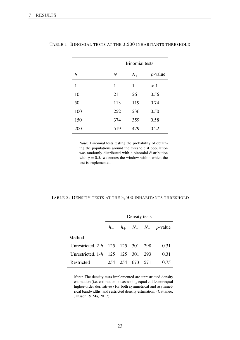|                  |         | <b>Binomial</b> tests |             |
|------------------|---------|-----------------------|-------------|
| $\boldsymbol{h}$ | $N_{-}$ | $N_{+}$               | $p$ -value  |
| 1                | 1       | 1                     | $\approx 1$ |
| 10               | 21      | 26                    | 0.56        |
| 50               | 113     | 119                   | 0.74        |
| 100              | 252     | 236                   | 0.50        |
| 150              | 374     | 359                   | 0.58        |
| 200              | 519     | 479                   | 0.22        |

#### <span id="page-24-0"></span>TABLE 1: BINOMIAL TESTS AT THE 3,500 INHABITANTS THRESHOLD

*Note:* Binomial tests testing the probability of obtaining the populations around the threshold if population was randomly distributed with a binomial distribution with  $q = 0.5$ . *h* denotes the window within which the test is implemented.

#### <span id="page-24-1"></span>TABLE 2: DENSITY TESTS AT THE 3,500 INHABITANTS THRESHOLD

|                                   |     | Density tests |     |                                                |
|-----------------------------------|-----|---------------|-----|------------------------------------------------|
|                                   |     |               |     | $h_-\quad h_+\quad N_-\quad N_+\quad p$ -value |
| Method                            |     |               |     |                                                |
| Unrestricted, 2-h 125 125 301 298 |     |               |     | 0.31                                           |
| Unrestricted, $1-h$ 125 125 301   |     |               | 293 | 0.31                                           |
| Restricted                        | 254 | 254 673 571   |     | 0.75                                           |

*Note:* The density tests implemented are unrestricted density estimation (i.e. estimation not assuming equal c.d.f.s nor equal higher-order derivatives) for both symmetrical and asymmetrical bandwidths, and restricted density estimation. (Cattaneo, Jansson, & Ma, [2017\)](#page-37-10)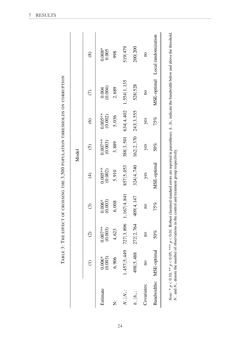<span id="page-25-0"></span>

| . The second of the second state of the second of the district of the second research in the second second second second second second in the second second second second second second second second second second second se<br>)<br> }<br> }<br>. |  |
|-----------------------------------------------------------------------------------------------------------------------------------------------------------------------------------------------------------------------------------------------------|--|
| ;<br>;<br>;                                                                                                                                                                                                                                         |  |
| )<br>)<br>1<br>.<br>.<br>.<br>.                                                                                                                                                                                                                     |  |
| c 」 ……<br>.<br> <br> <br> <br>                                                                                                                                                                                                                      |  |

|                    |                         |                      |                     |                      | Model                |                      |                         |                                                                                                                                                                                                                          |
|--------------------|-------------------------|----------------------|---------------------|----------------------|----------------------|----------------------|-------------------------|--------------------------------------------------------------------------------------------------------------------------------------------------------------------------------------------------------------------------|
|                    | $\widehat{\Xi}$         | $\widehat{c}$        | $\odot$             | $\bigoplus$          | $\widehat{c}$        | $\widehat{\circ}$    | $\widehat{C}$           | $\circledS$                                                                                                                                                                                                              |
| Estimate           | $0.006*$<br>$(0.003)$   | $0.007**$<br>(0.003) | $0.006*$<br>(0.003) | $0.005**$<br>(0.002) | $0.007**$<br>(0.003) | $0.005**$<br>(0.002) | $0.004$ (0.004)         | $0.008*$<br>0.005                                                                                                                                                                                                        |
| Ż                  | 6,906                   | 4,623                | 6,008               | 5,910                | 3,889                | 5,036                | 2,689                   | 998                                                                                                                                                                                                                      |
| $N_- N_+$ :        | 1,457 5,449             | 727 3,896            | $1,167$   4, 841    | 857 5,053            | 388 3,501            | 634 4,402            | $1,554$   1,135         | 519 479                                                                                                                                                                                                                  |
| $\frac{1}{2}h_{+}$ | 498 5,488               | 272 2,764            | 409 4, 147          | 324 4,740            | 162 2, 370           | 243 3,555            | 528 528                 | 200 200                                                                                                                                                                                                                  |
| Covariates:        | $\overline{a}$          | $\overline{a}$       | $\overline{a}$      | yes                  | yes                  | yes                  | $\overline{\mathbf{a}}$ | $\overline{\mathbf{a}}$                                                                                                                                                                                                  |
|                    | Bandwidths: MSE-optimal | $50\%$               | 75%                 | MSE-optimal          | 50%                  | 75%                  |                         | MSE-optimal Local randomization                                                                                                                                                                                          |
|                    |                         |                      |                     |                      |                      |                      |                         | $N_{\rm tot}$ , $\gamma \sim 0$ () () () () () ) $\Gamma$ Doluct clustered stranglering temper are reasonably in anothoses $h$ . In , indicate the host displayer in $N_{\rm tot}$ and $\gamma$ and along the throughold |

*Note*: \*  $p < 0.10$ ; \*\*\*  $p < 0.05$ ; \*\*\*  $p < 0.01$ . Robust clustered standard errors are reported in parentheses.  $h - |h_+|$  indicate the bandwidth below and above the threshold.  $N_-$  and  $N_+$  denote the number of observat *Note:* \* *p* < 0.10; \*\*\* *p* < 0.05; \*\*\* *p* < 0.01. Robust clustered standard errors are reported in parentheses. *h*−|*h*+ indicate the bandwidth below and above the threshold. *N*− and *N*<sub>+</sub> denote the number of observations in the control and treatment group respectively.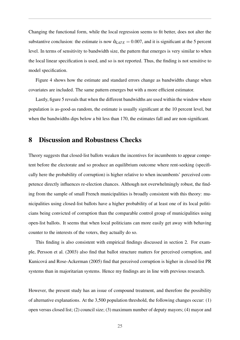Changing the functional form, while the local regression seems to fit better, does not alter the substantive conclusion: the estimate is now  $\hat{\alpha}_{LATE} = 0.007$ , and it is significant at the 5 percent level. In terms of sensitivity to bandwidth size, the pattern that emerges is very similar to when the local linear specification is used, and so is not reported. Thus, the finding is not sensitive to model specification.

Figure [4](#page-28-1) shows how the estimate and standard errors change as bandwidths change when covariates are included. The same pattern emerges but with a more efficient estimator.

Lastly, figure [5](#page-29-0) reveals that when the different bandwidths are used within the window where population is as-good-as random, the estimate is usually significant at the 10 percent level, but when the bandwidths dips below a bit less than 170, the estimates fall and are non-significant.

## <span id="page-26-0"></span>8 Discussion and Robustness Checks

Theory suggests that closed-list ballots weaken the incentives for incumbents to appear competent before the electorate and so produce an equilibrium outcome where rent-seeking (specifically here the probability of corruption) is higher relative to when incumbents' perceived competence directly influences re-election chances. Although not overwhelmingly robust, the finding from the sample of small French municipalities is broadly consistent with this theory: municipalities using closed-list ballots have a higher probability of at least one of its local politicians being convicted of corruption than the comparable control group of municipalities using open-list ballots. It seems that when local politicians can more easily get away with behaving counter to the interests of the voters, they actually do so.

This finding is also consistent with empirical findings discussed in section [2.](#page-5-0) For example, Persson et al. [\(2003\)](#page-41-2) also find that ballot structure matters for perceived corruption, and Kunicová and Rose-Ackerman [\(2005\)](#page-40-4) find that perceived corruption is higher in closed-list PR systems than in majoritarian systems. Hence my findings are in line with previous research.

However, the present study has an issue of compound treatment, and therefore the possibility of alternative explanations. At the 3,500 population threshold, the following changes occur: (1) open versus closed list; (2) council size; (3) maximum number of deputy mayors; (4) mayor and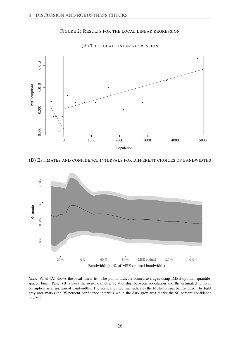#### FIGURE 2: RESULTS FOR THE LOCAL LINEAR REGRESSION

<span id="page-27-0"></span>

(A) THE LOCAL LINEAR REGRESSION

#### (B) ESTIMATES AND CONFIDENCE INTERVALS FOR DIFFERENT CHOICES OF BANDWIDTHS



*Note:* Panel (A) shows the local linear fit. The points indicate binned averages using IMSE-optimal, quantilespaced bins. Panel (B) shows the non-parametric relationship between population and the estimated jump in corruption as a function of bandwidths. The vertical dotted line indicates the MSE-optimal bandwidths. The light grey area marks the 95 percent confidence intervals while the dark grey area marks the 90 percent confidence intervals.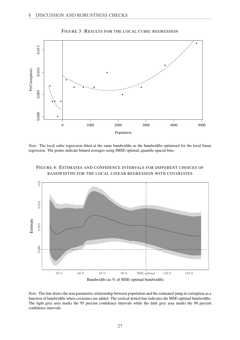<span id="page-28-0"></span>

FIGURE 3: RESULTS FOR THE LOCAL CUBIC REGRESSION

*Note:* The local cubic regression fitted at the same bandwidths as the bandwidths optimised for the local linear regression. The points indicate binned averages using IMSE-optimal, quantile-spaced bins.

<span id="page-28-1"></span>

FIGURE 4: ESTIMATES AND CONFIDENCE INTERVALS FOR DIFFERENT CHOICES OF BANDWIDTHS FOR THE LOCAL LINEAR REGRESSION WITH COVARIATES

*Note:* The line draws the non-parametric relationship between population and the estimated jump in corruption as a function of bandwidths when covariates are added. The vertical dotted line indicates the MSE-optimal bandwidths. The light grey area marks the 95 percent confidence intervals while the dark grey area marks the 90 percent confidence intervals.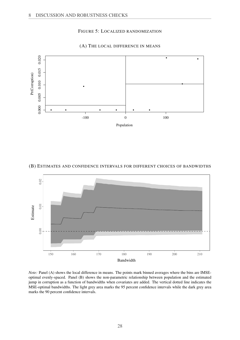#### FIGURE 5: LOCALIZED RANDOMIZATION

<span id="page-29-0"></span>

#### (A) THE LOCAL DIFFERENCE IN MEANS

#### (B) ESTIMATES AND CONFIDENCE INTERVALS FOR DIFFERENT CHOICES OF BANDWIDTHS



*Note:* Panel (A) shows the local difference in means. The points mark binned averages where the bins are IMSEoptimal evenly-spaced. Panel (B) shows the non-parametric relationship between population and the estimated jump in corruption as a function of bandwidths when covariates are added. The vertical dotted line indicates the MSE-optimal bandwidths. The light grey area marks the 95 percent confidence intervals while the dark grey area marks the 90 percent confidence intervals.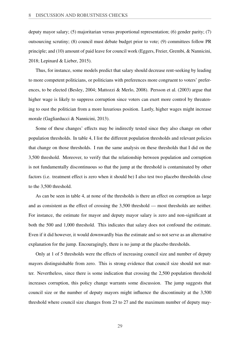deputy mayor salary; (5) majoritarian versus proportional representation; (6) gender parity; (7) outsourcing scrutiny; (8) council must debate budget prior to vote; (9) committees follow PR principle; and (10) amount of paid leave for council work (Eggers, Freier, Grembi, & Nannicini, [2018;](#page-38-9) Lepinard & Lieber, [2015\)](#page-40-10).

Thus, for instance, some models predict that salary should decrease rent-seeking by leading to more competent politicians, or politicians with preferences more congruent to voters' preferences, to be elected (Besley, [2004;](#page-37-11) Mattozzi & Merlo, [2008\)](#page-40-11). Persson et al. [\(2003\)](#page-41-2) argue that higher wage is likely to suppress corruption since voters can exert more control by threatening to oust the politician from a more luxurious position. Lastly, higher wages might increase morale (Gagliarducci & Nannicini, [2013\)](#page-39-11).

Some of these changes' effects may be indirectly tested since they also change on other population thresholds. In table [4,](#page-31-0) I list the different population thresholds and relevant policies that change on those thresholds. I run the same analysis on these thresholds that I did on the 3,500 threshold. Moreover, to verify that the relationship between population and corruption is not fundamentally discontinuous so that the jump at the threshold is contaminated by other factors (i.e. treatment effect is zero when it should be) I also test two placebo thresholds close to the 3,500 threshold.

As can be seen in table [4,](#page-31-0) at none of the thresholds is there an effect on corruption as large and as consistent as the effect of crossing the 3,500 threshold — most thresholds are neither. For instance, the estimate for mayor and deputy mayor salary is zero and non-significant at both the 500 and 1,000 threshold. This indicates that salary does not confound the estimate. Even if it did however, it would downwardly bias the estimate and so not serve as an alternative explanation for the jump. Encouragingly, there is no jump at the placebo thresholds.

Only at 1 of 5 thresholds were the effects of increasing council size and number of deputy mayors distinguishable from zero. This is strong evidence that council size should not matter. Nevertheless, since there is some indication that crossing the 2,500 population threshold increases corruption, this policy change warrants some discussion. The jump suggests that council size or the number of deputy mayors might influence the discontinuity at the 3,500 threshold where council size changes from 23 to 27 and the maximum number of deputy may-

29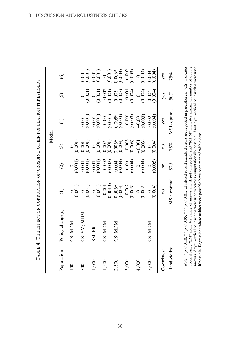<span id="page-31-0"></span>TABLE 4: THE EFFECT ON CORRUPTION OF CROSSING OTHER POPULATION THRESHOLDS TABLE 4: THE EFFECT ON CORRUPTION OF CROSSING OTHER POPULATION THRESHOLDS

|                  |                                                                                                                                    |                                            |                                          | Model                                         |                                               |                                          |                                               |
|------------------|------------------------------------------------------------------------------------------------------------------------------------|--------------------------------------------|------------------------------------------|-----------------------------------------------|-----------------------------------------------|------------------------------------------|-----------------------------------------------|
| Population       | Policy change(s)                                                                                                                   | $\widehat{\Xi}$                            | $\widehat{\odot}$                        | $\widehat{\odot}$                             | $\widehat{\mathfrak{t}}$                      | $\widehat{\odot}$                        | $\circledcirc$                                |
| $\overline{100}$ | CS; MDM                                                                                                                            | $\begin{pmatrix} 0 \\ 0.001 \end{pmatrix}$ | $\begin{matrix} 0 \\ 0.001 \end{matrix}$ | $\begin{pmatrix} 0 \\ 0.001 \end{pmatrix}$    |                                               |                                          |                                               |
| 500              | CS; SM; MDM                                                                                                                        | $\begin{matrix} 0 \\ 0.001 \end{matrix}$   | $\frac{0.001}{0.001}$                    | $\begin{array}{c} 0.001 \\ 0.001 \end{array}$ | $\begin{array}{c} 0.001 \\ 0.001 \end{array}$ | $\begin{matrix} 0 \\ 0.001 \end{matrix}$ | $\begin{array}{c} 0.001 \\ 0.001 \end{array}$ |
| 1,000            | SM; PR                                                                                                                             | (0.001)<br>$\circ$                         | (0.001)                                  | (0.001)                                       | $(0.001)$<br>$(0.001)$                        | (0.001)<br>$\circ$                       | (0.001)                                       |
| 1,500            | CS; MOM                                                                                                                            | 0.0013<br>$-0.001$                         | $-0.002$<br>(0.002)                      | (0.001)                                       | (0.001)<br>$-0.001$                           | $-0.002$<br>(0.001)                      | $\begin{pmatrix} 0 \\ 0.001 \end{pmatrix}$    |
| 2,500            | CS; MDM                                                                                                                            | $0.006*$<br>(0.003)                        | $0.004$<br>$(0.004)$                     | $0.006*$<br>$(0.003)$                         | $0.005*$<br>$(0.003)$                         | (0.005)                                  | $0.006*$<br>(0.003)                           |
| 3,000            |                                                                                                                                    | $-0.002$<br>(0.003)                        | $-0.001$<br>(0.004)                      | $-0.003$<br>(0.003)                           | $-0.001$<br>$(0.003)$                         | $-0.001$<br>(0.004)                      | $-0.002$<br>(0.003)                           |
| 4,000            |                                                                                                                                    | $\begin{pmatrix} 0 \\ 0.002 \end{pmatrix}$ | (0.004)                                  | $-0.001$<br>$(0.003)$                         | $-0.001$<br>(0.003)                           | (0.004)                                  | (0.003)<br>$\circ$                            |
| 5,000            | CS; MDM                                                                                                                            | (0.004)                                    | 0.005                                    | (0.004)<br>$\circ$                            | (100, 0)<br>0.002                             | 0.004<br>0.004                           | 0.004)<br>0.003                               |
| Covariates:      |                                                                                                                                    | $\overline{\mathbf{u}}$                    | $\overline{a}$                           | $\overline{a}$                                | yes                                           | yes                                      | yes                                           |
| Bandwidths:      |                                                                                                                                    | MSE-optimal                                | $50\%$                                   | 75%                                           | MSE-optimal                                   | 50%                                      | 75%                                           |
|                  | Note: * $p < 0.10$ ; ** $p < 0.05$ ; *** $p < 0.01$ . Clustered robust standard errors are reported in parentheses. "CS" indicates |                                            |                                          |                                               |                                               |                                          |                                               |

council size; "SM" indicates salary of mayor and deputy mayor(s); and "MDM" indicates maximum number of deputy mayors. Asymmetrical bandwidths were used wherever computationally possible, if not, symmetrical bandwidths were used

counce are, or manufactor and or the set of the position of the property and the symmetrical bandwidths were used<br>if possible. Regressions where neither were possible have been marked with a dash.<br>if was the Regressions wh

if possible. Regressions where neither were possible have been marked with a dash.

8 DISCUSSION AND ROBUSTNESS CHECKS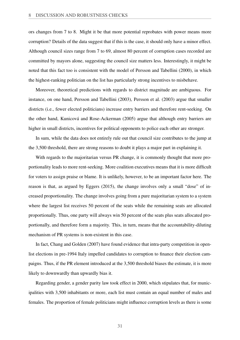ors changes from 7 to 8. Might it be that more potential reprobates with power means more corruption? Details of the data suggest that if this is the case, it should only have a minor effect. Although council sizes range from 7 to 69, almost 80 percent of corruption cases recorded are committed by mayors alone, suggesting the council size matters less. Interestingly, it might be noted that this fact too is consistent with the model of Persson and Tabellini [\(2000\)](#page-41-0), in which the highest-ranking politician on the list has particularly strong incentives to misbehave.

Moreover, theoretical predictions with regards to district magnitude are ambiguous. For instance, on one hand, Persson and Tabellini [\(2003\)](#page-41-6), Persson et al. [\(2003\)](#page-41-2) argue that smaller districts (i.e., fewer elected politicians) increase entry barriers and therefore rent-seeking. On the other hand, Kunicová and Rose-Ackerman [\(2005\)](#page-40-4) argue that although entry barriers are higher in small districts, incentives for political opponents to police each other are stronger.

In sum, while the data does not entirely rule out that council size contributes to the jump at the 3,500 threshold, there are strong reasons to doubt it plays a major part in explaining it.

With regards to the majoritarian versus PR change, it is commonly thought that more proportionality leads to more rent-seeking. More coalition executives means that it is more difficult for voters to assign praise or blame. It is unlikely, however, to be an important factor here. The reason is that, as argued by Eggers [\(2015\)](#page-38-10), the change involves only a small "dose" of increased proportionality. The change involves going from a pure majoritarian system to a system where the largest list receives 50 percent of the seats while the remaining seats are allocated proportionally. Thus, one party will always win 50 percent of the seats plus seats allocated proportionally, and therefore form a majority. This, in turn, means that the accountability-diluting mechanism of PR systems is non-existent in this case.

In fact, Chang and Golden [\(2007\)](#page-38-11) have found evidence that intra-party competition in openlist elections in pre-1994 Italy impelled candidates to corruption to finance their election campaigns. Thus, if the PR element introduced at the 3,500 threshold biases the estimate, it is more likely to downwardly than upwardly bias it.

Regarding gender, a gender parity law took effect in 2000, which stipulates that, for municipalities with 3,500 inhabitants or more, each list must contain an equal number of males and females. The proportion of female politicians might influence corruption levels as there is some

31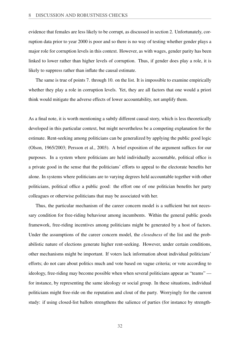evidence that females are less likely to be corrupt, as discussed in section [2.](#page-5-0) Unfortunately, corruption data prior to year 2000 is poor and so there is no way of testing whether gender plays a major role for corruption levels in this context. However, as with wages, gender parity has been linked to lower rather than higher levels of corruption. Thus, if gender does play a role, it is likely to suppress rather than inflate the causal estimate.

The same is true of points 7. through 10. on the list. It is impossible to examine empirically whether they play a role in corruption levels. Yet, they are all factors that one would a priori think would mitigate the adverse effects of lower accountability, not amplify them.

As a final note, it is worth mentioning a subtly different causal story, which is less theoretically developed in this particular context, but might nevertheless be a competing explanation for the estimate. Rent-seeking among politicians can be generalized by applying the public good logic (Olson, [1965/2003;](#page-41-12) Persson et al., [2003\)](#page-41-2). A brief exposition of the argument suffices for our purposes. In a system where politicians are held individually accountable, political office is a private good in the sense that the politicians' efforts to appeal to the electorate benefits her alone. In systems where politicians are to varying degrees held accountable together with other politicians, political office a public good: the effort one of one politician benefits her party colleagues or otherwise politicians that may be associated with her.

Thus, the particular mechanism of the career concern model is a sufficient but not necessary condition for free-riding behaviour among incumbents. Within the general public goods framework, free-riding incentives among politicians might be generated by a host of factors. Under the assumptions of the career concern model, the *closedness* of the list and the probabilistic nature of elections generate higher rent-seeking. However, under certain conditions, other mechanisms might be important. If voters lack information about individual politicians' efforts; do not care about politics much and vote based on vague criteria; or vote according to ideology, free-riding may become possible when when several politicians appear as "teams" for instance, by representing the same ideology or social group. In these situations, individual politicians might free-ride on the reputation and clout of the party. Worryingly for the current study: if using closed-list ballots strengthens the salience of parties (for instance by strength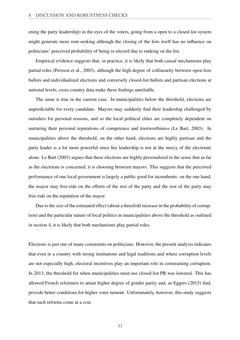ening the party leadership) in the eyes of the voters, going from a open to a closed list system might generate more rent-seeking although the closing of the lists itself has no influence on politicians' perceived probability of being re-elected due to ranking on the list.

Empirical evidence suggests that, in practice, it is likely that both causal mechanisms play partial roles (Persson et al., [2003\)](#page-41-2), although the high degree of collinearity between open-lists ballots and individualized elections and conversely closed-list ballots and partisan elections at national levels, cross-country data make these findings unreliable.

The same is true in the current case. In municipalities below the threshold, elections are unpredictable for every candidate. Mayors may suddenly find their leadership challenged by outsiders for personal reasons, and so the local political elites are completely dependent on nurturing their personal reputations of competence and trustworthiness (Le Bart, [2003\)](#page-40-12). In municipalities above the threshold, on the other hand, elections are highly partisan and the party leader is a lot more powerful since her leadership is not at the mercy of the electorate alone. Le Bart [\(2003\)](#page-40-12) argues that these elections are highly personalized in the sense that as far as the electorate is concerned, it is choosing between mayors. This suggests that the perceived performance of one local government is largely a public good for incumbents: on the one hand, the mayor may free-ride on the efforts of the rest of the party and the rest of the party may free-ride on the reputation of the mayor.

Due to the size of the estimated effect (about a threefold increase in the probability of corruption) and the particular nature of local politics in municipalities above the threshold as outlined in section [4,](#page-15-0) it is likely that both mechanisms play partial roles.

Elections is just one of many constraints on politicians. However, the present analysis indicates that even in a country with strong institutions and legal traditions and where corruption levels are not especially high, electoral incentives play an important role in constraining corruption. In 2013, the threshold for when municipalities must use closed-list PR was lowered. This has allowed French reformers to attain higher degree of gender parity and, as Eggers [\(2015\)](#page-38-10) find, provide better conditions for higher voter turnout. Unfortunately, however, this study suggests that such reforms come at a cost.

33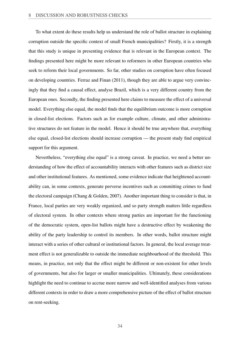To what extent do these results help us understand the role of ballot structure in explaining corruption outside the specific context of small French municipalities? Firstly, it is a strength that this study is unique in presenting evidence that is relevant in the European context. The findings presented here might be more relevant to reformers in other European countries who seek to reform their local governments. So far, other studies on corruption have often focused on developing countries. Ferraz and Finan [\(2011\)](#page-39-7), though they are able to argue very convincingly that they find a causal effect, analyse Brazil, which is a very different country from the European ones. Secondly, the finding presented here claims to measure the effect of a universal model. Everything else equal, the model finds that the equilibrium outcome is more corruption in closed-list elections. Factors such as for example culture, climate, and other administrative structures do not feature in the model. Hence it should be true anywhere that, everything else equal, closed-list elections should increase corruption — the present study find empirical support for this argument.

Nevertheless, "everything else equal" is a strong caveat. In practice, we need a better understanding of how the effect of accountability interacts with other features such as district size and other institutional features. As mentioned, some evidence indicate that heightened accountability can, in some contexts, generate perverse incentives such as committing crimes to fund the electoral campaign (Chang & Golden, [2007\)](#page-38-11). Another important thing to consider is that, in France, local parties are very weakly organized, and so party strength matters little regardless of electoral system. In other contexts where strong parties are important for the functioning of the democratic system, open-list ballots might have a destructive effect by weakening the ability of the party leadership to control its members. In other words, ballot structure might interact with a series of other cultural or institutional factors. In general, the local average treatment effect is not generalizable to outside the immediate neighbourhood of the threshold. This means, in practice, not only that the effect might be different or non-existent for other levels of governments, but also for larger or smaller municipalities. Ultimately, these considerations highlight the need to continue to accrue more narrow and well-identified analyses from various different contexts in order to draw a more comprehensive picture of the effect of ballot structure on rent-seeking.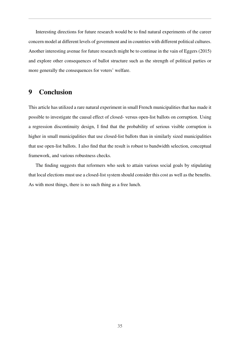Interesting directions for future research would be to find natural experiments of the career concern model at different levels of government and in countries with different political cultures. Another interesting avenue for future research might be to continue in the vain of Eggers [\(2015\)](#page-38-10) and explore other consequences of ballot structure such as the strength of political parties or more generally the consequences for voters' welfare.

## <span id="page-36-0"></span>9 Conclusion

This article has utilized a rare natural experiment in small French municipalities that has made it possible to investigate the causal effect of closed- versus open-list ballots on corruption. Using a regression discontinuity design, I find that the probability of serious visible corruption is higher in small municipalities that use closed-list ballots than in similarly sized municipalities that use open-list ballots. I also find that the result is robust to bandwidth selection, conceptual framework, and various robustness checks.

The finding suggests that reformers who seek to attain various social goals by stipulating that local elections must use a closed-list system should consider this cost as well as the benefits. As with most things, there is no such thing as a free lunch.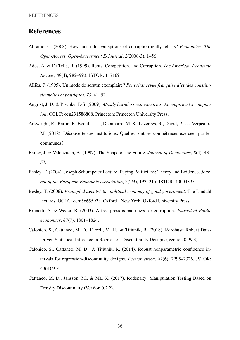## References

- <span id="page-37-4"></span>Abramo, C. (2008). How much do perceptions of corruption really tell us? *Economics: The Open-Access, Open-Assessment E-Journal*, *2*(2008-3), 1–56.
- <span id="page-37-0"></span>Ades, A. & Di Tella, R. (1999). Rents, Competition, and Corruption. *The American Economic Review*, *89*(4), 982–993. JSTOR: [117169](http://www.jstor.org/stable/117169)
- <span id="page-37-6"></span>Alliès, P. (1995). Un mode de scrutin exemplaire? *Pouvoirs: revue française d'études constitutionnelles et politiques*, *73*, 41–52.
- <span id="page-37-7"></span>Angrist, J. D. & Pischke, J.-S. (2009). *Mostly harmless econometrics: An empiricist's companion*. OCLC: ocn231586808. Princeton: Princeton University Press.
- <span id="page-37-5"></span>Arkwright, E., Baron, F., Boeuf, J.-L., Delamarre, M. S., Lazerges, R., David, P., ... Verpeaux, M. (2018). Découverte des institutions: Quelles sont les compétences exercées par les communes?
- <span id="page-37-2"></span>Bailey, J. & Valenzuela, A. (1997). The Shape of the Future. *Journal of Democracy*, *8*(4), 43– 57.
- <span id="page-37-11"></span>Besley, T. (2004). Joseph Schumpeter Lecture: Paying Politicians: Theory and Evidence. *Journal of the European Economic Association*, *2*(2/3), 193–215. JSTOR: [40004897](http://www.jstor.org/stable/40004897)
- <span id="page-37-3"></span>Besley, T. (2006). *Principled agents? the political economy of good government*. The Lindahl lectures. OCLC: ocm56655923. Oxford ; New York: Oxford University Press.
- <span id="page-37-1"></span>Brunetti, A. & Weder, B. (2003). A free press is bad news for corruption. *Journal of Public economics*, *87*(7), 1801–1824.
- <span id="page-37-8"></span>Calonico, S., Cattaneo, M. D., Farrell, M. H., & Titiunik, R. (2018). Rdrobust: Robust Data-Driven Statistical Inference in Regression-Discontinuity Designs (Version 0.99.3).
- <span id="page-37-9"></span>Calonico, S., Cattaneo, M. D., & Titiunik, R. (2014). Robust nonparametric confidence intervals for regression-discontinuity designs. *Econometrica*, *82*(6), 2295–2326. JSTOR: [43616914](http://www.jstor.org/stable/43616914)
- <span id="page-37-10"></span>Cattaneo, M. D., Jansson, M., & Ma, X. (2017). Rddensity: Manipulation Testing Based on Density Discontinuity (Version 0.2.2).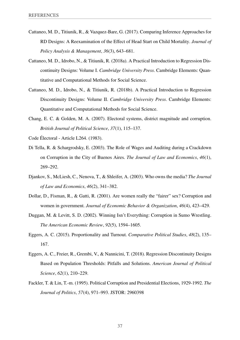- <span id="page-38-8"></span>Cattaneo, M. D., Titiunik, R., & Vazquez-Bare, G. (2017). Comparing Inference Approaches for RD Designs: A Reexamination of the Effect of Head Start on Child Mortality. *Journal of Policy Analysis & Management*, *36*(3), 643–681.
- <span id="page-38-6"></span>Cattaneo, M. D., Idrobo, N., & Titiunik, R. (2018a). A Practical Introduction to Regression Discontinuity Designs: Volume I. *Cambridge University Press*. Cambridge Elements: Quantitative and Computational Methods for Social Science.
- <span id="page-38-7"></span>Cattaneo, M. D., Idrobo, N., & Titiunik, R. (2018b). A Practical Introduction to Regression Discontinuity Designs: Volume II. *Cambridge University Press*. Cambridge Elements: Quantitative and Computational Methods for Social Science.
- <span id="page-38-11"></span>Chang, E. C. & Golden, M. A. (2007). Electoral systems, district magnitude and corruption. *British Journal of Political Science*, *37*(1), 115–137.

<span id="page-38-5"></span><span id="page-38-4"></span>Code Électoral - Article L264. (1983).

- Di Tella, R. & Schargrodsky, E. (2003). The Role of Wages and Auditing during a Crackdown on Corruption in the City of Buenos Aires. *The Journal of Law and Economics*, *46*(1), 269–292.
- <span id="page-38-1"></span>Djankov, S., McLiesh, C., Nenova, T., & Shleifer, A. (2003). Who owns the media? *The Journal of Law and Economics*, *46*(2), 341–382.
- <span id="page-38-0"></span>Dollar, D., Fisman, R., & Gatti, R. (2001). Are women really the "fairer" sex? Corruption and women in government. *Journal of Economic Behavior & Organization*, *46*(4), 423–429.
- <span id="page-38-3"></span>Duggan, M. & Levitt, S. D. (2002). Winning Isn't Everything: Corruption in Sumo Wrestling. *The American Economic Review*, *92*(5), 1594–1605.
- <span id="page-38-10"></span>Eggers, A. C. (2015). Proportionality and Turnout. *Comparative Political Studies*, *48*(2), 135– 167.
- <span id="page-38-9"></span>Eggers, A. C., Freier, R., Grembi, V., & Nannicini, T. (2018). Regression Discontinuity Designs Based on Population Thresholds: Pitfalls and Solutions. *American Journal of Political Science*, *62*(1), 210–229.
- <span id="page-38-2"></span>Fackler, T. & Lin, T.-m. (1995). Political Corruption and Presidential Elections, 1929-1992. *The Journal of Politics*, *57*(4), 971–993. JSTOR: [2960398](http://www.jstor.org/stable/2960398)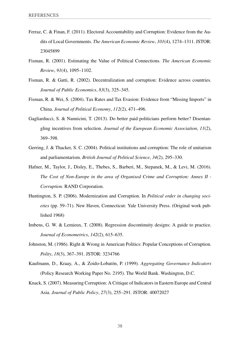- <span id="page-39-7"></span>Ferraz, C. & Finan, F. (2011). Electoral Accountability and Corruption: Evidence from the Audits of Local Governments. *The American Economic Review*, *101*(4), 1274–1311. JSTOR: [23045899](http://www.jstor.org/stable/23045899)
- <span id="page-39-8"></span>Fisman, R. (2001). Estimating the Value of Political Connections. *The American Economic Review*, *91*(4), 1095–1102.
- <span id="page-39-3"></span>Fisman, R. & Gatti, R. (2002). Decentralization and corruption: Evidence across countries. *Journal of Public Economics*, *83*(3), 325–345.
- <span id="page-39-9"></span>Fisman, R. & Wei, S. (2004). Tax Rates and Tax Evasion: Evidence from "Missing Imports" in China. *Journal of Political Economy*, *112*(2), 471–496.
- <span id="page-39-11"></span>Gagliarducci, S. & Nannicini, T. (2013). Do better paid politicians perform better? Disentangling incentives from selection. *Journal of the European Economic Association*, *11*(2), 369–398.
- <span id="page-39-2"></span>Gerring, J. & Thacker, S. C. (2004). Political institutions and corruption: The role of unitarism and parliamentarism. *British Journal of Political Science*, *34*(2), 295–330.
- <span id="page-39-0"></span>Hafner, M., Taylor, J., Disley, E., Thebes, S., Barberi, M., Stepanek, M., & Levi, M. (2016). *The Cost of Non-Europe in the area of Organised Crime and Corruption: Annex II - Corruption*. RAND Corporation.
- <span id="page-39-1"></span>Huntington, S. P. (2006). Modernization and Corruption. In *Political order in changing societies* (pp. 59–71). New Haven, Connecticut: Yale University Press. (Original work published 1968)
- <span id="page-39-10"></span>Imbens, G. W. & Lemieux, T. (2008). Regression discontinuity designs: A guide to practice. *Journal of Econometrics*, *142*(2), 615–635.
- <span id="page-39-6"></span>Johnston, M. (1986). Right & Wrong in American Politics: Popular Conceptions of Corruption. *Polity*, *18*(3), 367–391. JSTOR: [3234766](http://www.jstor.org/stable/3234766)
- <span id="page-39-4"></span>Kaufmann, D., Kraay, A., & Zoido-Lobatón, P. (1999). *Aggregating Governance Indicators* (Policy Research Working Paper No. 2195). The World Bank. Washington, D.C.
- <span id="page-39-5"></span>Knack, S. (2007). Measuring Corruption: A Critique of Indicators in Eastern Europe and Central Asia. *Journal of Public Policy*, *27*(3), 255–291. JSTOR: [40072027](http://www.jstor.org/stable/40072027)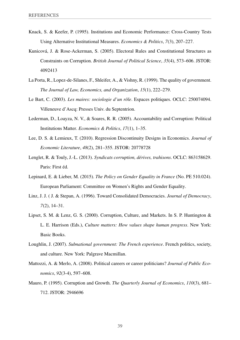- <span id="page-40-1"></span>Knack, S. & Keefer, P. (1995). Institutions and Economic Performance: Cross-Country Tests Using Alternative Institutional Measures. *Economics & Politics*, *7*(3), 207–227.
- <span id="page-40-4"></span>Kunicová, J. & Rose-Ackerman, S. (2005). Electoral Rules and Constitutional Structures as Constraints on Corruption. *British Journal of Political Science*, *35*(4), 573–606. JSTOR: [4092413](http://www.jstor.org/stable/4092413)
- <span id="page-40-2"></span>La Porta, R., Lopez-de-Silanes, F., Shleifer, A., & Vishny, R. (1999). The quality of government. *The Journal of Law, Economics, and Organization*, *15*(1), 222–279.
- <span id="page-40-12"></span>Le Bart, C. (2003). *Les maires: sociologie d'un rôle*. Espaces politiques. OCLC: 250074094. Villeneuve d'Ascq: Presses Univ. du Septentrion.
- <span id="page-40-5"></span>Lederman, D., Loayza, N. V., & Soares, R. R. (2005). Accountability and Corruption: Political Institutions Matter. *Economics & Politics*, *17*(1), 1–35.
- <span id="page-40-9"></span>Lee, D. S. & Lemieux, T. (2010). Regression Discontinuity Designs in Economics. *Journal of Economic Literature*, *48*(2), 281–355. JSTOR: [20778728](http://www.jstor.org/stable/20778728)
- <span id="page-40-8"></span>Lenglet, R. & Touly, J.-L. (2013). *Syndicats corruption, dérives, trahisons*. OCLC: 863158629. Paris: First éd.
- <span id="page-40-10"></span>Lepinard, E. & Lieber, M. (2015). *The Policy on Gender Equality in France* (No. PE 510.024). European Parliament: Committee on Women's Rights and Gender Equality.
- <span id="page-40-3"></span>Linz, J. J. ( J. & Stepan, A. (1996). Toward Consolidated Democracies. *Journal of Democracy*, *7*(2), 14–31.
- <span id="page-40-6"></span>Lipset, S. M. & Lenz, G. S. (2000). Corruption, Culture, and Markets. In S. P. Huntington & L. E. Harrison (Eds.), *Culture matters: How values shape human progress*. New York: Basic Books.
- <span id="page-40-7"></span>Loughlin, J. (2007). *Subnational government: The French experience*. French politics, society, and culture. New York: Palgrave Macmillan.
- <span id="page-40-11"></span>Mattozzi, A. & Merlo, A. (2008). Political careers or career politicians? *Journal of Public Economics*, *92*(3-4), 597–608.
- <span id="page-40-0"></span>Mauro, P. (1995). Corruption and Growth. *The Quarterly Journal of Economics*, *110*(3), 681– 712. JSTOR: [2946696](http://www.jstor.org/stable/2946696)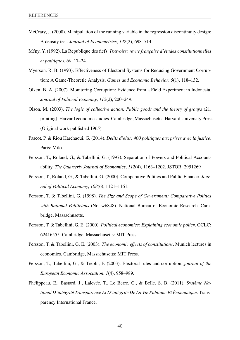- <span id="page-41-11"></span>McCrary, J. (2008). Manipulation of the running variable in the regression discontinuity design: A density test. *Journal of Econometrics*, *142*(2), 698–714.
- <span id="page-41-8"></span>Mény, Y. (1992). La République des fiefs. *Pouvoirs: revue française d'études constitutionnelles et politiques*, *60*, 17–24.
- <span id="page-41-3"></span>Myerson, R. B. (1993). Effectiveness of Electoral Systems for Reducing Government Corruption: A Game-Theoretic Analysis. *Games and Economic Behavior*, *5*(1), 118–132.
- <span id="page-41-7"></span>Olken, B. A. (2007). Monitoring Corruption: Evidence from a Field Experiment in Indonesia. *Journal of Political Economy*, *115*(2), 200–249.
- <span id="page-41-12"></span>Olson, M. (2003). *The logic of collective action: Public goods and the theory of groups* (21. printing). Harvard economic studies. Cambridge, Massachusetts: Harvard University Press. (Original work published 1965)
- <span id="page-41-10"></span>Pascot, P. & Riou Harchaoui, G. (2014). *Délits d'élus: 400 politiques aux prises avec la justice*. Paris: Milo.
- <span id="page-41-1"></span>Persson, T., Roland, G., & Tabellini, G. (1997). Separation of Powers and Political Accountability. *The Quarterly Journal of Economics*, *112*(4), 1163–1202. JSTOR: [2951269](http://www.jstor.org/stable/2951269)
- <span id="page-41-4"></span>Persson, T., Roland, G., & Tabellini, G. (2000). Comparative Politics and Public Finance. *Journal of Political Economy*, *108*(6), 1121–1161.
- <span id="page-41-5"></span>Persson, T. & Tabellini, G. (1998). *The Size and Scope of Government: Comparative Politics with Rational Politicians* (No. w6848). National Bureau of Economic Research. Cambridge, Massachusetts.
- <span id="page-41-0"></span>Persson, T. & Tabellini, G. E. (2000). *Political economics: Explaining economic policy*. OCLC: 62416555. Cambridge, Massachusetts: MIT Press.
- <span id="page-41-6"></span>Persson, T. & Tabellini, G. E. (2003). *The economic effects of constitutions*. Munich lectures in economics. Cambridge, Massachusetts: MIT Press.
- <span id="page-41-2"></span>Persson, T., Tabellini, G., & Trebbi, F. (2003). Electoral rules and corruption. *journal of the European Economic Association*, *1*(4), 958–989.
- <span id="page-41-9"></span>Phélippeau, E., Bastard, J., Lalevée, T., Le Berre, C., & Belle, S. B. (2011). *Système National D'intégrité Transparence Et D'intégrité De La Vie Publique Et Économique*. Transparency International France.